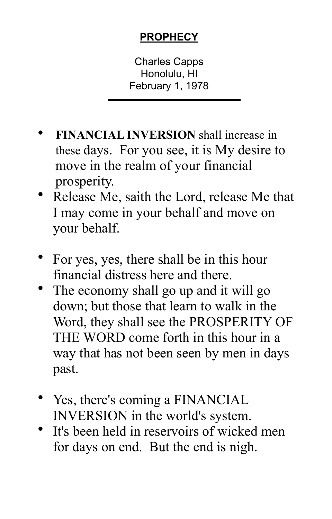## **PROPHECY**

Charles Capps Honolulu, HI February 1, 1978

- **FINANCIAL INVERSION** shall increase in these days. For you see, it is My desire to move in the realm of your financial prosperity.
- Release Me, saith the Lord, release Me that I may come in your behalf and move on your behalf.
- For yes, yes, there shall be in this hour financial distress here and there.
- The economy shall go up and it will go down; but those that learn to walk in the Word, they shall see the PROSPERITY OF THE WORD come forth in this hour in a way that has not been seen by men in days past.
- Yes, there's coming a FINANCIAL INVERSION in the world's system.
- It's been held in reservoirs of wicked men for days on end. But the end is nigh.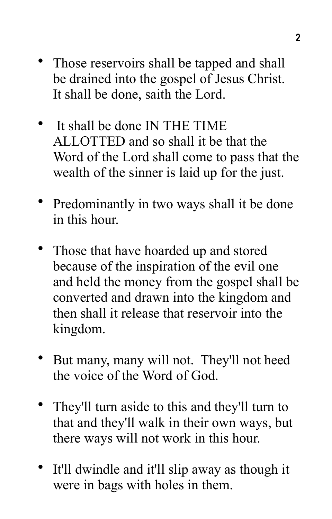- Those reservoirs shall be tapped and shall be drained into the gospel of Jesus Christ. It shall be done, saith the Lord.
- It shall be done IN THE TIME ALLOTTED and so shall it be that the Word of the Lord shall come to pass that the wealth of the sinner is laid up for the just.
- Predominantly in two ways shall it be done in this hour.
- Those that have hoarded up and stored because of the inspiration of the evil one and held the money from the gospel shall be converted and drawn into the kingdom and then shall it release that reservoir into the kingdom.
- But many, many will not. They'll not heed the voice of the Word of God.
- They'll turn aside to this and they'll turn to that and they'll walk in their own ways, but there ways will not work in this hour.
- It'll dwindle and it'll slip away as though it were in bags with holes in them.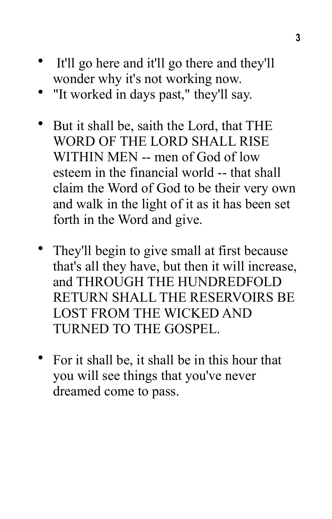- It'll go here and it'll go there and they'll wonder why it's not working now.
- "It worked in days past," they'll say.
- But it shall be, saith the Lord, that THE WORD OF THE LORD SHALL RISE WITHIN MEN -- men of God of low esteem in the financial world -- that shall claim the Word of God to be their very own and walk in the light of it as it has been set forth in the Word and give.
- They'll begin to give small at first because that's all they have, but then it will increase, and THROUGH THE HUNDREDFOLD RETURN SHALL THE RESERVOIRS BE LOST FROM THE WICKED AND TURNED TO THE GOSPEL.
- For it shall be, it shall be in this hour that you will see things that you've never dreamed come to pass.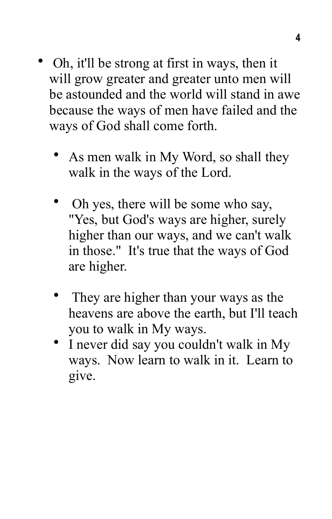- Oh, it'll be strong at first in ways, then it will grow greater and greater unto men will be astounded and the world will stand in awe because the ways of men have failed and the ways of God shall come forth.
	- As men walk in My Word, so shall they walk in the ways of the Lord.
	- Oh yes, there will be some who say, "Yes, but God's ways are higher, surely higher than our ways, and we can't walk in those." It's true that the ways of God are higher.
	- They are higher than your ways as the heavens are above the earth, but I'll teach you to walk in My ways.
	- I never did say you couldn't walk in My ways. Now learn to walk in it. Learn to give.